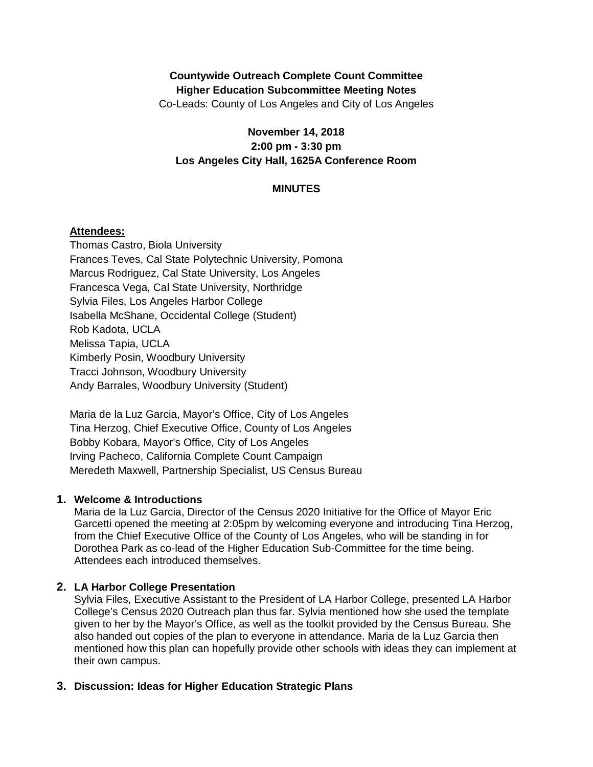# **Countywide Outreach Complete Count Committee Higher Education Subcommittee Meeting Notes**

Co-Leads: County of Los Angeles and City of Los Angeles

## **November 14, 2018 2:00 pm - 3:30 pm Los Angeles City Hall, 1625A Conference Room**

## **MINUTES**

## **Attendees:**

Thomas Castro, Biola University Frances Teves, Cal State Polytechnic University, Pomona Marcus Rodriguez, Cal State University, Los Angeles Francesca Vega, Cal State University, Northridge Sylvia Files, Los Angeles Harbor College Isabella McShane, Occidental College (Student) Rob Kadota, UCLA Melissa Tapia, UCLA Kimberly Posin, Woodbury University Tracci Johnson, Woodbury University Andy Barrales, Woodbury University (Student)

Maria de la Luz Garcia, Mayor's Office, City of Los Angeles Tina Herzog, Chief Executive Office, County of Los Angeles Bobby Kobara, Mayor's Office, City of Los Angeles Irving Pacheco, California Complete Count Campaign Meredeth Maxwell, Partnership Specialist, US Census Bureau

## **1. Welcome & Introductions**

Maria de la Luz Garcia, Director of the Census 2020 Initiative for the Office of Mayor Eric Garcetti opened the meeting at 2:05pm by welcoming everyone and introducing Tina Herzog, from the Chief Executive Office of the County of Los Angeles, who will be standing in for Dorothea Park as co-lead of the Higher Education Sub-Committee for the time being. Attendees each introduced themselves.

## **2. LA Harbor College Presentation**

Sylvia Files, Executive Assistant to the President of LA Harbor College, presented LA Harbor College's Census 2020 Outreach plan thus far. Sylvia mentioned how she used the template given to her by the Mayor's Office, as well as the toolkit provided by the Census Bureau. She also handed out copies of the plan to everyone in attendance. Maria de la Luz Garcia then mentioned how this plan can hopefully provide other schools with ideas they can implement at their own campus.

## **3. Discussion: Ideas for Higher Education Strategic Plans**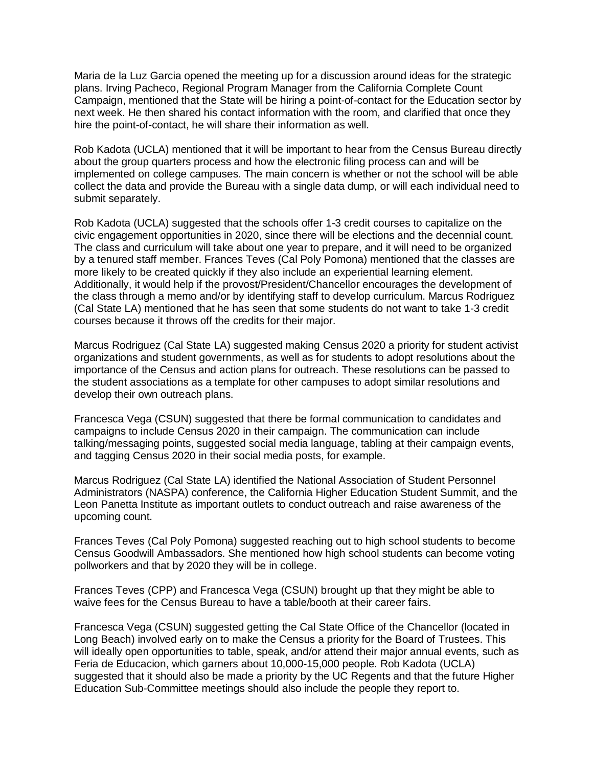Maria de la Luz Garcia opened the meeting up for a discussion around ideas for the strategic plans. Irving Pacheco, Regional Program Manager from the California Complete Count Campaign, mentioned that the State will be hiring a point-of-contact for the Education sector by next week. He then shared his contact information with the room, and clarified that once they hire the point-of-contact, he will share their information as well.

Rob Kadota (UCLA) mentioned that it will be important to hear from the Census Bureau directly about the group quarters process and how the electronic filing process can and will be implemented on college campuses. The main concern is whether or not the school will be able collect the data and provide the Bureau with a single data dump, or will each individual need to submit separately.

Rob Kadota (UCLA) suggested that the schools offer 1-3 credit courses to capitalize on the civic engagement opportunities in 2020, since there will be elections and the decennial count. The class and curriculum will take about one year to prepare, and it will need to be organized by a tenured staff member. Frances Teves (Cal Poly Pomona) mentioned that the classes are more likely to be created quickly if they also include an experiential learning element. Additionally, it would help if the provost/President/Chancellor encourages the development of the class through a memo and/or by identifying staff to develop curriculum. Marcus Rodriguez (Cal State LA) mentioned that he has seen that some students do not want to take 1-3 credit courses because it throws off the credits for their major.

Marcus Rodriguez (Cal State LA) suggested making Census 2020 a priority for student activist organizations and student governments, as well as for students to adopt resolutions about the importance of the Census and action plans for outreach. These resolutions can be passed to the student associations as a template for other campuses to adopt similar resolutions and develop their own outreach plans.

Francesca Vega (CSUN) suggested that there be formal communication to candidates and campaigns to include Census 2020 in their campaign. The communication can include talking/messaging points, suggested social media language, tabling at their campaign events, and tagging Census 2020 in their social media posts, for example.

Marcus Rodriguez (Cal State LA) identified the National Association of Student Personnel Administrators (NASPA) conference, the California Higher Education Student Summit, and the Leon Panetta Institute as important outlets to conduct outreach and raise awareness of the upcoming count.

Frances Teves (Cal Poly Pomona) suggested reaching out to high school students to become Census Goodwill Ambassadors. She mentioned how high school students can become voting pollworkers and that by 2020 they will be in college.

Frances Teves (CPP) and Francesca Vega (CSUN) brought up that they might be able to waive fees for the Census Bureau to have a table/booth at their career fairs.

Francesca Vega (CSUN) suggested getting the Cal State Office of the Chancellor (located in Long Beach) involved early on to make the Census a priority for the Board of Trustees. This will ideally open opportunities to table, speak, and/or attend their major annual events, such as Feria de Educacion, which garners about 10,000-15,000 people. Rob Kadota (UCLA) suggested that it should also be made a priority by the UC Regents and that the future Higher Education Sub-Committee meetings should also include the people they report to.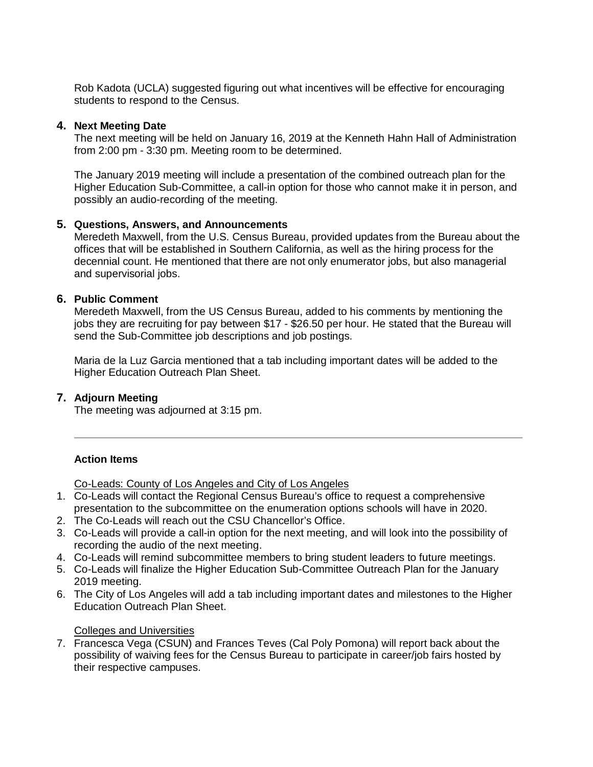Rob Kadota (UCLA) suggested figuring out what incentives will be effective for encouraging students to respond to the Census.

#### **4. Next Meeting Date**

The next meeting will be held on January 16, 2019 at the Kenneth Hahn Hall of Administration from 2:00 pm - 3:30 pm. Meeting room to be determined.

The January 2019 meeting will include a presentation of the combined outreach plan for the Higher Education Sub-Committee, a call-in option for those who cannot make it in person, and possibly an audio-recording of the meeting.

#### **5. Questions, Answers, and Announcements**

Meredeth Maxwell, from the U.S. Census Bureau, provided updates from the Bureau about the offices that will be established in Southern California, as well as the hiring process for the decennial count. He mentioned that there are not only enumerator jobs, but also managerial and supervisorial jobs.

#### **6. Public Comment**

Meredeth Maxwell, from the US Census Bureau, added to his comments by mentioning the jobs they are recruiting for pay between \$17 - \$26.50 per hour. He stated that the Bureau will send the Sub-Committee job descriptions and job postings.

Maria de la Luz Garcia mentioned that a tab including important dates will be added to the Higher Education Outreach Plan Sheet.

## **7. Adjourn Meeting**

The meeting was adjourned at 3:15 pm.

## **Action Items**

Co-Leads: County of Los Angeles and City of Los Angeles

- 1. Co-Leads will contact the Regional Census Bureau's office to request a comprehensive presentation to the subcommittee on the enumeration options schools will have in 2020.
- 2. The Co-Leads will reach out the CSU Chancellor's Office.
- 3. Co-Leads will provide a call-in option for the next meeting, and will look into the possibility of recording the audio of the next meeting.
- 4. Co-Leads will remind subcommittee members to bring student leaders to future meetings.
- 5. Co-Leads will finalize the Higher Education Sub-Committee Outreach Plan for the January 2019 meeting.
- 6. The City of Los Angeles will add a tab including important dates and milestones to the Higher Education Outreach Plan Sheet.

#### Colleges and Universities

7. Francesca Vega (CSUN) and Frances Teves (Cal Poly Pomona) will report back about the possibility of waiving fees for the Census Bureau to participate in career/job fairs hosted by their respective campuses.